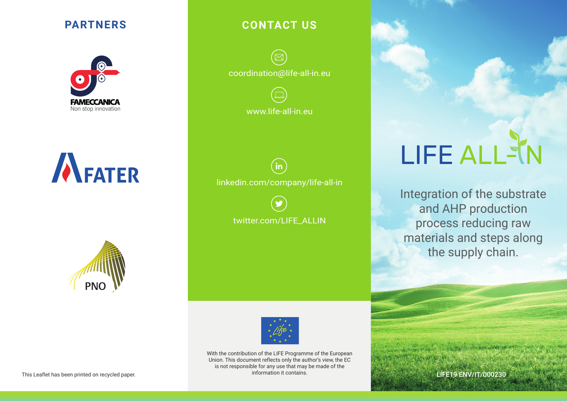# **PARTNERS**







# **CONTACT US**

coordination@life-all-in.eu



 $(in)$ linkedin.com/company/life-all-in

twitter.com/LIFE\_ALLIN



With the contribution of the LIFE Programme of the European Union. This document reflects only the author's view, the EC is not responsible for any use that may be made of the information it contains. This Leaflet has been printed on recycled paper. **Example 2018** of the contains of the contains.

# LIFE ALLS

Integration of the substrate and AHP production process reducing raw materials and steps along the supply chain.